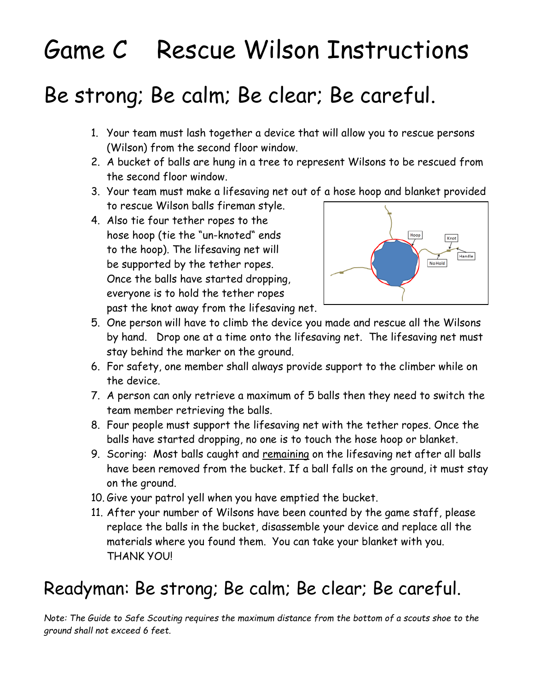# Game C Rescue Wilson Instructions

### Be strong; Be calm; Be clear; Be careful.

- 1. Your team must lash together a device that will allow you to rescue persons (Wilson) from the second floor window.
- 2. A bucket of balls are hung in a tree to represent Wilsons to be rescued from the second floor window.
- 3. Your team must make a lifesaving net out of a hose hoop and blanket provided to rescue Wilson balls fireman style.
- 4. Also tie four tether ropes to the hose hoop (tie the "un-knoted" ends to the hoop). The lifesaving net will be supported by the tether ropes. Once the balls have started dropping, everyone is to hold the tether ropes past the knot away from the lifesaving net.



- 5. One person will have to climb the device you made and rescue all the Wilsons by hand. Drop one at a time onto the lifesaving net. The lifesaving net must stay behind the marker on the ground.
- 6. For safety, one member shall always provide support to the climber while on the device.
- 7. A person can only retrieve a maximum of 5 balls then they need to switch the team member retrieving the balls.
- 8. Four people must support the lifesaving net with the tether ropes. Once the balls have started dropping, no one is to touch the hose hoop or blanket.
- 9. Scoring: Most balls caught and remaining on the lifesaving net after all balls have been removed from the bucket. If a ball falls on the ground, it must stay on the ground.
- 10. Give your patrol yell when you have emptied the bucket.
- 11. After your number of Wilsons have been counted by the game staff, please replace the balls in the bucket, disassemble your device and replace all the materials where you found them. You can take your blanket with you. THANK YOU!

### Readyman: Be strong; Be calm; Be clear; Be careful.

*Note: The Guide to Safe Scouting requires the maximum distance from the bottom of a scouts shoe to the ground shall not exceed 6 feet.*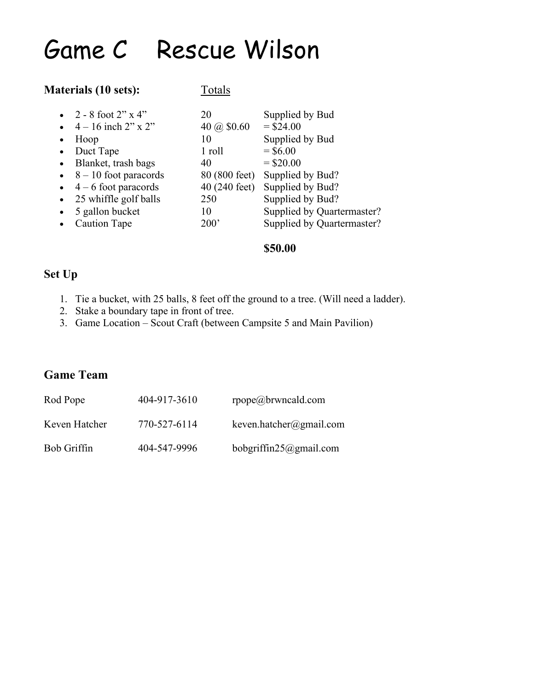### Game C Rescue Wilson

#### **Materials** (10 sets): Totals

| ٠ | • 2 - 8 foot 2" $x$ 4"<br>• $4 - 16$ inch $2''$ x $2''$<br>Hoop | 20<br>40 ( $\omega$ \$0.60<br>10 | Supplied by Bud<br>$=$ \$24.00<br>Supplied by Bud |
|---|-----------------------------------------------------------------|----------------------------------|---------------------------------------------------|
|   | • Duct Tape                                                     | 1 roll                           | $=$ \$6.00                                        |
|   | • Blanket, trash bags                                           | 40                               | $=$ \$20.00                                       |
|   | $\bullet$ 8 – 10 foot paracords                                 |                                  | 80 (800 feet) Supplied by Bud?                    |
|   | $\bullet$ 4 – 6 foot paracords                                  | $40(240 \text{ feet})$           | Supplied by Bud?                                  |
|   | • 25 whiffle golf balls                                         | 250                              | Supplied by Bud?                                  |
|   | • 5 gallon bucket                                               | 10                               | Supplied by Quartermaster?                        |
|   | Caution Tape                                                    | 200'                             | Supplied by Quartermaster?                        |
|   |                                                                 |                                  |                                                   |

#### **\$50.00**

#### **Set Up**

- 1. Tie a bucket, with 25 balls, 8 feet off the ground to a tree. (Will need a ladder).
- 2. Stake a boundary tape in front of tree.
- 3. Game Location Scout Craft (between Campsite 5 and Main Pavilion)

### **Game Team**

| Rod Pope           | 404-917-3610 | rpope@brwncald.com      |
|--------------------|--------------|-------------------------|
| Keven Hatcher      | 770-527-6114 | keven.hatcher@gmail.com |
| <b>Bob Griffin</b> | 404-547-9996 | bobgriffin25@gmail.com  |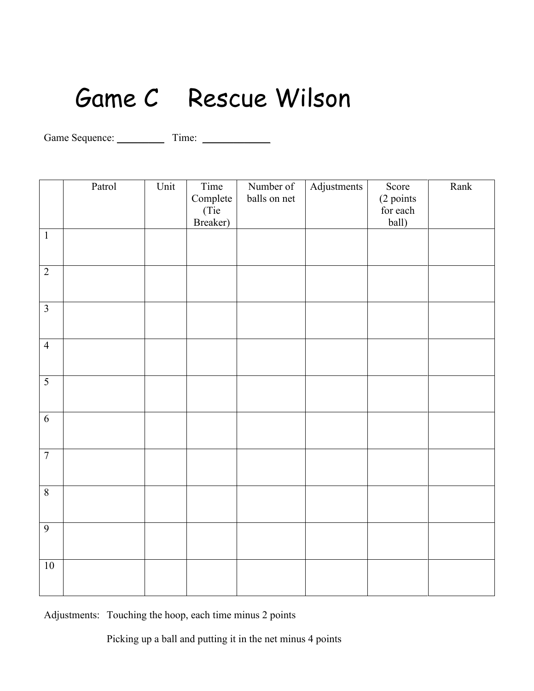### Game C Rescue Wilson

Game Sequence: \_\_\_\_\_\_\_\_\_ Time: \_\_\_\_\_\_\_\_\_\_\_\_\_

|                | Patrol | Unit | $\overline{\text{Time}}$ | Number of    | Adjustments | Score     | Rank |
|----------------|--------|------|--------------------------|--------------|-------------|-----------|------|
|                |        |      | Complete                 | balls on net |             | (2 points |      |
|                |        |      | (Tie                     |              |             | for each  |      |
|                |        |      | Breaker)                 |              |             | ball)     |      |
| $\mathbf 1$    |        |      |                          |              |             |           |      |
|                |        |      |                          |              |             |           |      |
| $\overline{2}$ |        |      |                          |              |             |           |      |
|                |        |      |                          |              |             |           |      |
| $\overline{3}$ |        |      |                          |              |             |           |      |
|                |        |      |                          |              |             |           |      |
|                |        |      |                          |              |             |           |      |
| $\overline{4}$ |        |      |                          |              |             |           |      |
|                |        |      |                          |              |             |           |      |
| 5              |        |      |                          |              |             |           |      |
|                |        |      |                          |              |             |           |      |
| 6              |        |      |                          |              |             |           |      |
|                |        |      |                          |              |             |           |      |
|                |        |      |                          |              |             |           |      |
| $\overline{7}$ |        |      |                          |              |             |           |      |
|                |        |      |                          |              |             |           |      |
| $\overline{8}$ |        |      |                          |              |             |           |      |
|                |        |      |                          |              |             |           |      |
|                |        |      |                          |              |             |           |      |
| $\overline{9}$ |        |      |                          |              |             |           |      |
|                |        |      |                          |              |             |           |      |
|                |        |      |                          |              |             |           |      |
| $10\,$         |        |      |                          |              |             |           |      |
|                |        |      |                          |              |             |           |      |

Adjustments: Touching the hoop, each time minus 2 points

Picking up a ball and putting it in the net minus 4 points